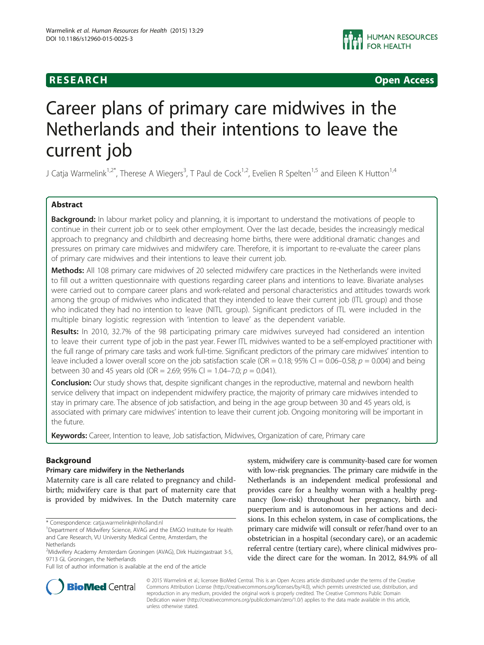<span id="page-0-0"></span>**RESEARCH RESEARCH CONSUMING ACCESS** 

# Career plans of primary care midwives in the Netherlands and their intentions to leave the current job

J Catja Warmelink<sup>1,2\*</sup>, Therese A Wiegers<sup>3</sup>, T Paul de Cock<sup>1,2</sup>, Evelien R Spelten<sup>1,5</sup> and Eileen K Hutton<sup>1,4</sup>

# Abstract

Background: In labour market policy and planning, it is important to understand the motivations of people to continue in their current job or to seek other employment. Over the last decade, besides the increasingly medical approach to pregnancy and childbirth and decreasing home births, there were additional dramatic changes and pressures on primary care midwives and midwifery care. Therefore, it is important to re-evaluate the career plans of primary care midwives and their intentions to leave their current job.

Methods: All 108 primary care midwives of 20 selected midwifery care practices in the Netherlands were invited to fill out a written questionnaire with questions regarding career plans and intentions to leave. Bivariate analyses were carried out to compare career plans and work-related and personal characteristics and attitudes towards work among the group of midwives who indicated that they intended to leave their current job (ITL group) and those who indicated they had no intention to leave (NITL group). Significant predictors of ITL were included in the multiple binary logistic regression with 'intention to leave' as the dependent variable.

Results: In 2010, 32.7% of the 98 participating primary care midwives surveyed had considered an intention to leave their current type of job in the past year. Fewer ITL midwives wanted to be a self-employed practitioner with the full range of primary care tasks and work full-time. Significant predictors of the primary care midwives' intention to leave included a lower overall score on the job satisfaction scale (OR = 0.18; 95% CI = 0.06–0.58;  $p = 0.004$ ) and being between 30 and 45 years old (OR = 2.69; 95% CI = 1.04–7.0;  $p = 0.041$ ).

**Conclusion:** Our study shows that, despite significant changes in the reproductive, maternal and newborn health service delivery that impact on independent midwifery practice, the majority of primary care midwives intended to stay in primary care. The absence of job satisfaction, and being in the age group between 30 and 45 years old, is associated with primary care midwives' intention to leave their current job. Ongoing monitoring will be important in the future.

Keywords: Career, Intention to leave, Job satisfaction, Midwives, Organization of care, Primary care

# Background

# Primary care midwifery in the Netherlands

Maternity care is all care related to pregnancy and childbirth; midwifery care is that part of maternity care that is provided by midwives. In the Dutch maternity care

\* Correspondence: [catja.warmelink@inholland.nl](mailto:catja.warmelink@inholland.nl) <sup>1</sup>

<sup>1</sup>Department of Midwifery Science, AVAG and the EMGO Institute for Health and Care Research, VU University Medical Centre, Amsterdam, the Netherlands

Full list of author information is available at the end of the article

system, midwifery care is community-based care for women with low-risk pregnancies. The primary care midwife in the Netherlands is an independent medical professional and provides care for a healthy woman with a healthy pregnancy (low-risk) throughout her pregnancy, birth and puerperium and is autonomous in her actions and decisions. In this echelon system, in case of complications, the primary care midwife will consult or refer/hand over to an obstetrician in a hospital (secondary care), or an academic referral centre (tertiary care), where clinical midwives provide the direct care for the woman. In 2012, 84.9% of all



© 2015 Warmelink et al.; licensee BioMed Central. This is an Open Access article distributed under the terms of the Creative Commons Attribution License [\(http://creativecommons.org/licenses/by/4.0\)](http://creativecommons.org/licenses/by/4.0), which permits unrestricted use, distribution, and reproduction in any medium, provided the original work is properly credited. The Creative Commons Public Domain Dedication waiver [\(http://creativecommons.org/publicdomain/zero/1.0/](http://creativecommons.org/publicdomain/zero/1.0/)) applies to the data made available in this article, unless otherwise stated.

<sup>&</sup>lt;sup>2</sup>Midwifery Academy Amsterdam Groningen (AVAG), Dirk Huizingastraat 3-5, 9713 GL Groningen, the Netherlands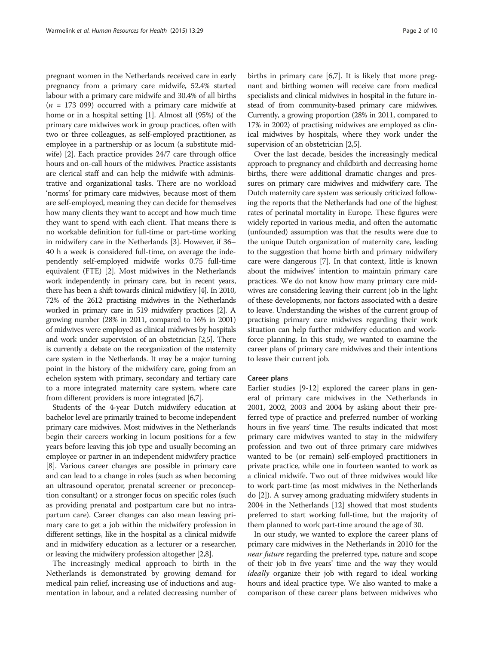pregnant women in the Netherlands received care in early pregnancy from a primary care midwife, 52.4% started labour with a primary care midwife and 30.4% of all births  $(n = 173 099)$  occurred with a primary care midwife at home or in a hospital setting [[1\]](#page-8-0). Almost all (95%) of the primary care midwives work in group practices, often with two or three colleagues, as self-employed practitioner, as employee in a partnership or as locum (a substitute midwife) [[2\]](#page-8-0). Each practice provides 24/7 care through office hours and on-call hours of the midwives. Practice assistants are clerical staff and can help the midwife with administrative and organizational tasks. There are no workload 'norms' for primary care midwives, because most of them are self-employed, meaning they can decide for themselves how many clients they want to accept and how much time they want to spend with each client. That means there is no workable definition for full-time or part-time working in midwifery care in the Netherlands [[3\]](#page-8-0). However, if 36– 40 h a week is considered full-time, on average the independently self-employed midwife works 0.75 full-time equivalent (FTE) [\[2](#page-8-0)]. Most midwives in the Netherlands work independently in primary care, but in recent years, there has been a shift towards clinical midwifery [\[4\]](#page-8-0). In 2010, 72% of the 2612 practising midwives in the Netherlands worked in primary care in 519 midwifery practices [\[2\]](#page-8-0). A growing number (28% in 2011, compared to 16% in 2001) of midwives were employed as clinical midwives by hospitals and work under supervision of an obstetrician [[2,5\]](#page-8-0). There is currently a debate on the reorganization of the maternity care system in the Netherlands. It may be a major turning point in the history of the midwifery care, going from an echelon system with primary, secondary and tertiary care to a more integrated maternity care system, where care from different providers is more integrated [[6,7](#page-8-0)].

Students of the 4-year Dutch midwifery education at bachelor level are primarily trained to become independent primary care midwives. Most midwives in the Netherlands begin their careers working in locum positions for a few years before leaving this job type and usually becoming an employee or partner in an independent midwifery practice [[8\]](#page-8-0). Various career changes are possible in primary care and can lead to a change in roles (such as when becoming an ultrasound operator, prenatal screener or preconception consultant) or a stronger focus on specific roles (such as providing prenatal and postpartum care but no intrapartum care). Career changes can also mean leaving primary care to get a job within the midwifery profession in different settings, like in the hospital as a clinical midwife and in midwifery education as a lecturer or a researcher, or leaving the midwifery profession altogether [[2,8](#page-8-0)].

The increasingly medical approach to birth in the Netherlands is demonstrated by growing demand for medical pain relief, increasing use of inductions and augmentation in labour, and a related decreasing number of births in primary care [\[6,7](#page-8-0)]. It is likely that more pregnant and birthing women will receive care from medical specialists and clinical midwives in hospital in the future instead of from community-based primary care midwives. Currently, a growing proportion (28% in 2011, compared to 17% in 2002) of practising midwives are employed as clinical midwives by hospitals, where they work under the supervision of an obstetrician [\[2,5\]](#page-8-0).

Over the last decade, besides the increasingly medical approach to pregnancy and childbirth and decreasing home births, there were additional dramatic changes and pressures on primary care midwives and midwifery care. The Dutch maternity care system was seriously criticized following the reports that the Netherlands had one of the highest rates of perinatal mortality in Europe. These figures were widely reported in various media, and often the automatic (unfounded) assumption was that the results were due to the unique Dutch organization of maternity care, leading to the suggestion that home birth and primary midwifery care were dangerous [[7](#page-8-0)]. In that context, little is known about the midwives' intention to maintain primary care practices. We do not know how many primary care midwives are considering leaving their current job in the light of these developments, nor factors associated with a desire to leave. Understanding the wishes of the current group of practising primary care midwives regarding their work situation can help further midwifery education and workforce planning. In this study, we wanted to examine the career plans of primary care midwives and their intentions to leave their current job.

# Career plans

Earlier studies [\[9](#page-8-0)-[12\]](#page-8-0) explored the career plans in general of primary care midwives in the Netherlands in 2001, 2002, 2003 and 2004 by asking about their preferred type of practice and preferred number of working hours in five years' time. The results indicated that most primary care midwives wanted to stay in the midwifery profession and two out of three primary care midwives wanted to be (or remain) self-employed practitioners in private practice, while one in fourteen wanted to work as a clinical midwife. Two out of three midwives would like to work part-time (as most midwives in the Netherlands do [[2\]](#page-8-0)). A survey among graduating midwifery students in 2004 in the Netherlands [\[12\]](#page-8-0) showed that most students preferred to start working full-time, but the majority of them planned to work part-time around the age of 30.

In our study, we wanted to explore the career plans of primary care midwives in the Netherlands in 2010 for the near future regarding the preferred type, nature and scope of their job in five years' time and the way they would *ideally* organize their job with regard to ideal working hours and ideal practice type. We also wanted to make a comparison of these career plans between midwives who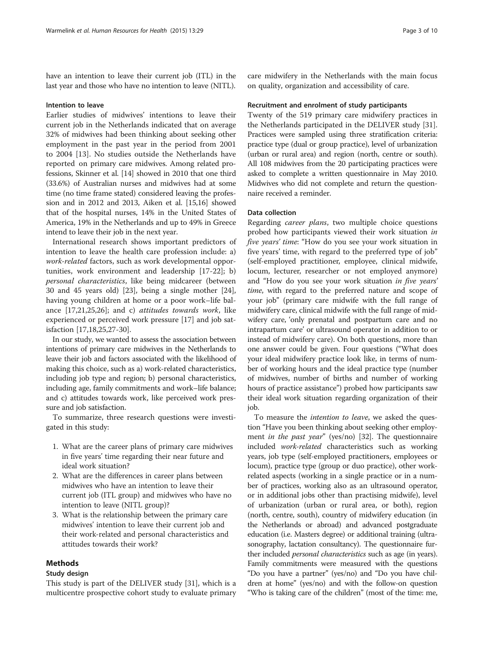have an intention to leave their current job (ITL) in the last year and those who have no intention to leave (NITL).

# Intention to leave

Earlier studies of midwives' intentions to leave their current job in the Netherlands indicated that on average 32% of midwives had been thinking about seeking other employment in the past year in the period from 2001 to 2004 [\[13](#page-8-0)]. No studies outside the Netherlands have reported on primary care midwives. Among related professions, Skinner et al. [\[14\]](#page-8-0) showed in 2010 that one third (33.6%) of Australian nurses and midwives had at some time (no time frame stated) considered leaving the profession and in 2012 and 2013, Aiken et al. [[15](#page-8-0)[,16](#page-9-0)] showed that of the hospital nurses, 14% in the United States of America, 19% in the Netherlands and up to 49% in Greece intend to leave their job in the next year.

International research shows important predictors of intention to leave the health care profession include: a) work-related factors, such as work developmental opportunities, work environment and leadership [\[17](#page-9-0)-[22\]](#page-9-0); b) personal characteristics, like being midcareer (between 30 and 45 years old) [\[23\]](#page-9-0), being a single mother [\[24](#page-9-0)], having young children at home or a poor work–life balance [\[17,21,25,26](#page-9-0)]; and c) attitudes towards work, like experienced or perceived work pressure [\[17\]](#page-9-0) and job satisfaction [\[17,18,25,27-30](#page-9-0)].

In our study, we wanted to assess the association between intentions of primary care midwives in the Netherlands to leave their job and factors associated with the likelihood of making this choice, such as a) work-related characteristics, including job type and region; b) personal characteristics, including age, family commitments and work–life balance; and c) attitudes towards work, like perceived work pressure and job satisfaction.

To summarize, three research questions were investigated in this study:

- 1. What are the career plans of primary care midwives in five years' time regarding their near future and ideal work situation?
- 2. What are the differences in career plans between midwives who have an intention to leave their current job (ITL group) and midwives who have no intention to leave (NITL group)?
- 3. What is the relationship between the primary care midwives' intention to leave their current job and their work-related and personal characteristics and attitudes towards their work?

# Methods

#### Study design

This study is part of the DELIVER study [[31](#page-9-0)], which is a multicentre prospective cohort study to evaluate primary care midwifery in the Netherlands with the main focus on quality, organization and accessibility of care.

#### Recruitment and enrolment of study participants

Twenty of the 519 primary care midwifery practices in the Netherlands participated in the DELIVER study [\[31](#page-9-0)]. Practices were sampled using three stratification criteria: practice type (dual or group practice), level of urbanization (urban or rural area) and region (north, centre or south). All 108 midwives from the 20 participating practices were asked to complete a written questionnaire in May 2010. Midwives who did not complete and return the questionnaire received a reminder.

# Data collection

Regarding career plans, two multiple choice questions probed how participants viewed their work situation in five years' time: "How do you see your work situation in five years' time, with regard to the preferred type of job" (self-employed practitioner, employee, clinical midwife, locum, lecturer, researcher or not employed anymore) and "How do you see your work situation in five years' time, with regard to the preferred nature and scope of your job" (primary care midwife with the full range of midwifery care, clinical midwife with the full range of midwifery care, 'only prenatal and postpartum care and no intrapartum care' or ultrasound operator in addition to or instead of midwifery care). On both questions, more than one answer could be given. Four questions ("What does your ideal midwifery practice look like, in terms of number of working hours and the ideal practice type (number of midwives, number of births and number of working hours of practice assistance") probed how participants saw their ideal work situation regarding organization of their job.

To measure the intention to leave, we asked the question "Have you been thinking about seeking other employ-ment in the past year" (yes/no) [[32](#page-9-0)]. The questionnaire included work-related characteristics such as working years, job type (self-employed practitioners, employees or locum), practice type (group or duo practice), other workrelated aspects (working in a single practice or in a number of practices, working also as an ultrasound operator, or in additional jobs other than practising midwife), level of urbanization (urban or rural area, or both), region (north, centre, south), country of midwifery education (in the Netherlands or abroad) and advanced postgraduate education (i.e. Masters degree) or additional training (ultrasonography, lactation consultancy). The questionnaire further included *personal characteristics* such as age (in years). Family commitments were measured with the questions "Do you have a partner" (yes/no) and "Do you have children at home" (yes/no) and with the follow-on question "Who is taking care of the children" (most of the time: me,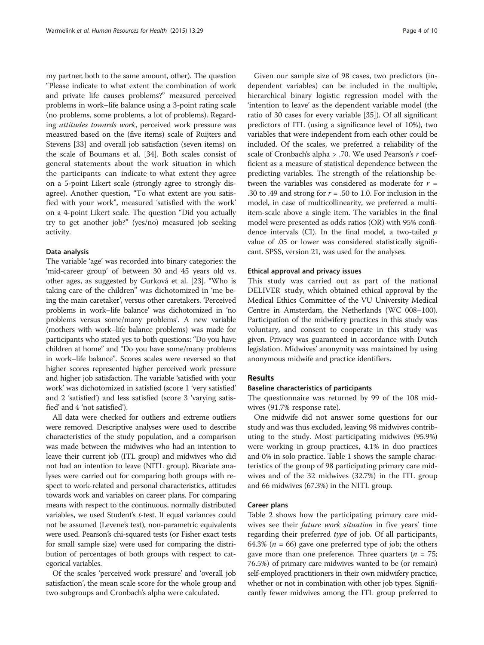my partner, both to the same amount, other). The question "Please indicate to what extent the combination of work and private life causes problems?" measured perceived problems in work–life balance using a 3-point rating scale (no problems, some problems, a lot of problems). Regarding attitudes towards work, perceived work pressure was measured based on the (five items) scale of Ruijters and Stevens [[33](#page-9-0)] and overall job satisfaction (seven items) on the scale of Boumans et al. [\[34\]](#page-9-0). Both scales consist of general statements about the work situation in which the participants can indicate to what extent they agree on a 5-point Likert scale (strongly agree to strongly disagree). Another question, "To what extent are you satisfied with your work", measured 'satisfied with the work' on a 4-point Likert scale. The question "Did you actually try to get another job?" (yes/no) measured job seeking activity.

# Data analysis

The variable 'age' was recorded into binary categories: the 'mid-career group' of between 30 and 45 years old vs. other ages, as suggested by Gurková et al. [\[23\]](#page-9-0). "Who is taking care of the children" was dichotomized in 'me being the main caretaker', versus other caretakers. 'Perceived problems in work–life balance' was dichotomized in 'no problems versus some/many problems'. A new variable (mothers with work–life balance problems) was made for participants who stated yes to both questions: "Do you have children at home" and "Do you have some/many problems in work–life balance". Scores scales were reversed so that higher scores represented higher perceived work pressure and higher job satisfaction. The variable 'satisfied with your work' was dichotomized in satisfied (score 1 'very satisfied' and 2 'satisfied') and less satisfied (score 3 'varying satisfied' and 4 'not satisfied').

All data were checked for outliers and extreme outliers were removed. Descriptive analyses were used to describe characteristics of the study population, and a comparison was made between the midwives who had an intention to leave their current job (ITL group) and midwives who did not had an intention to leave (NITL group). Bivariate analyses were carried out for comparing both groups with respect to work-related and personal characteristics, attitudes towards work and variables on career plans. For comparing means with respect to the continuous, normally distributed variables, we used Student's t-test. If equal variances could not be assumed (Levene's test), non-parametric equivalents were used. Pearson's chi-squared tests (or Fisher exact tests for small sample size) were used for comparing the distribution of percentages of both groups with respect to categorical variables.

Of the scales 'perceived work pressure' and 'overall job satisfaction', the mean scale score for the whole group and two subgroups and Cronbach's alpha were calculated.

Given our sample size of 98 cases, two predictors (independent variables) can be included in the multiple, hierarchical binary logistic regression model with the 'intention to leave' as the dependent variable model (the ratio of 30 cases for every variable [\[35](#page-9-0)]). Of all significant predictors of ITL (using a significance level of 10%), two variables that were independent from each other could be included. Of the scales, we preferred a reliability of the scale of Cronbach's alpha > .70. We used Pearson's r coefficient as a measure of statistical dependence between the predicting variables. The strength of the relationship between the variables was considered as moderate for  $r =$ .30 to .49 and strong for  $r = .50$  to 1.0. For inclusion in the model, in case of multicollinearity, we preferred a multiitem-scale above a single item. The variables in the final model were presented as odds ratios (OR) with 95% confidence intervals (CI). In the final model, a two-tailed  $p$ value of .05 or lower was considered statistically significant. SPSS, version 21, was used for the analyses.

# Ethical approval and privacy issues

This study was carried out as part of the national DELIVER study, which obtained ethical approval by the Medical Ethics Committee of the VU University Medical Centre in Amsterdam, the Netherlands (WC 008–100). Participation of the midwifery practices in this study was voluntary, and consent to cooperate in this study was given. Privacy was guaranteed in accordance with Dutch legislation. Midwives' anonymity was maintained by using anonymous midwife and practice identifiers.

# Results

# Baseline characteristics of participants

The questionnaire was returned by 99 of the 108 midwives (91.7% response rate).

One midwife did not answer some questions for our study and was thus excluded, leaving 98 midwives contributing to the study. Most participating midwives (95.9%) were working in group practices, 4.1% in duo practices and 0% in solo practice. Table [1](#page-4-0) shows the sample characteristics of the group of 98 participating primary care midwives and of the 32 midwives (32.7%) in the ITL group and 66 midwives (67.3%) in the NITL group.

# Career plans

Table [2](#page-5-0) shows how the participating primary care midwives see their future work situation in five years' time regarding their preferred type of job. Of all participants, 64.3% ( $n = 66$ ) gave one preferred type of job; the others gave more than one preference. Three quarters ( $n = 75$ ; 76.5%) of primary care midwives wanted to be (or remain) self-employed practitioners in their own midwifery practice, whether or not in combination with other job types. Significantly fewer midwives among the ITL group preferred to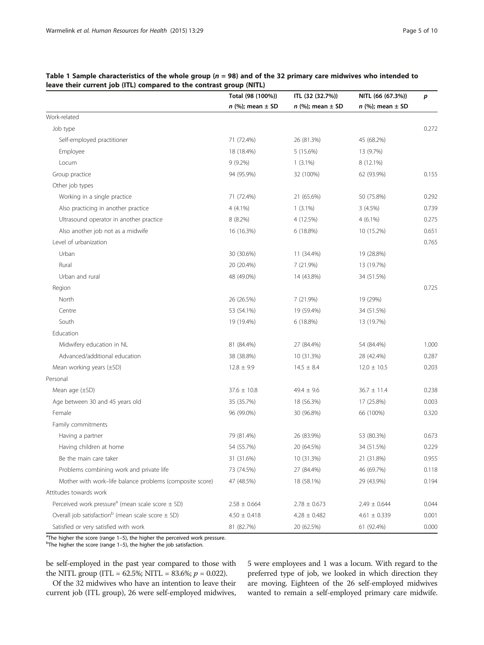|                                                                   | Total (98 (100%))      | ITL (32 (32.7%))       | NITL (66 (67.3%))      | р     |
|-------------------------------------------------------------------|------------------------|------------------------|------------------------|-------|
|                                                                   | $n$ (%); mean $\pm$ SD | $n$ (%); mean $\pm$ SD | $n$ (%); mean $\pm$ SD |       |
| Work-related                                                      |                        |                        |                        |       |
| Job type                                                          |                        |                        |                        | 0.272 |
| Self-employed practitioner                                        | 71 (72.4%)             | 26 (81.3%)             | 45 (68.2%)             |       |
| Employee                                                          | 18 (18.4%)             | 5 (15.6%)              | 13 (9.7%)              |       |
| Locum                                                             | $9(9.2\%)$             | $1(3.1\%)$             | 8 (12.1%)              |       |
| Group practice                                                    | 94 (95.9%)             | 32 (100%)              | 62 (93.9%)             | 0.155 |
| Other job types                                                   |                        |                        |                        |       |
| Working in a single practice                                      | 71 (72.4%)             | 21 (65.6%)             | 50 (75.8%)             | 0.292 |
| Also practicing in another practice                               | $4(4.1\%)$             | $1(3.1\%)$             | 3(4.5%)                | 0.739 |
| Ultrasound operator in another practice                           | 8(8.2%)                | 4 (12.5%)              | $4(6.1\%)$             | 0.275 |
| Also another job not as a midwife                                 | 16 (16.3%)             | 6(18.8%)               | 10 (15.2%)             | 0.651 |
| Level of urbanization                                             |                        |                        |                        | 0.765 |
| Urban                                                             | 30 (30.6%)             | 11 (34.4%)             | 19 (28.8%)             |       |
| Rural                                                             | 20 (20.4%)             | 7 (21.9%)              | 13 (19.7%)             |       |
| Urban and rural                                                   | 48 (49.0%)             | 14 (43.8%)             | 34 (51.5%)             |       |
| Region                                                            |                        |                        |                        | 0.725 |
| North                                                             | 26 (26.5%)             | 7 (21.9%)              | 19 (29%)               |       |
| Centre                                                            | 53 (54.1%)             | 19 (59.4%)             | 34 (51.5%)             |       |
| South                                                             | 19 (19.4%)             | 6 (18.8%)              | 13 (19.7%)             |       |
| Education                                                         |                        |                        |                        |       |
| Midwifery education in NL                                         | 81 (84.4%)             | 27 (84.4%)             | 54 (84.4%)             | 1.000 |
| Advanced/additional education                                     | 38 (38.8%)             | 10 (31.3%)             | 28 (42.4%)             | 0.287 |
| Mean working years (±SD)                                          | $12.8 \pm 9.9$         | $14.5 \pm 8.4$         | $12.0 \pm 10.5$        | 0.203 |
| Personal                                                          |                        |                        |                        |       |
| Mean age $(\pm SD)$                                               | $37.6 \pm 10.8$        | $49.4 \pm 9.6$         | $36.7 \pm 11.4$        | 0.238 |
| Age between 30 and 45 years old                                   | 35 (35.7%)             | 18 (56.3%)             | 17 (25.8%)             | 0.003 |
| Female                                                            | 96 (99.0%)             | 30 (96.8%)             | 66 (100%)              | 0.320 |
| Family commitments                                                |                        |                        |                        |       |
| Having a partner                                                  | 79 (81.4%)             | 26 (83.9%)             | 53 (80.3%)             | 0.673 |
| Having children at home                                           | 54 (55.7%)             | 20 (64.5%)             | 34 (51.5%)             | 0.229 |
| Be the main care taker                                            | 31 (31.6%)             | 10 (31.3%)             | 21 (31.8%)             | 0.955 |
| Problems combining work and private life                          | 73 (74.5%)             | 27 (84.4%)             | 46 (69.7%)             | 0.118 |
| Mother with work-life balance problems (composite score)          | 47 (48.5%)             | 18 (58.1%)             | 29 (43.9%)             | 0.194 |
| Attitudes towards work                                            |                        |                        |                        |       |
| Perceived work pressure <sup>a</sup> (mean scale score $\pm$ SD)  | $2.58 \pm 0.664$       | $2.78 \pm 0.673$       | $2.49 \pm 0.644$       | 0.044 |
| Overall job satisfaction <sup>b</sup> (mean scale score $\pm$ SD) | $4.50 \pm 0.418$       | $4.28 \pm 0.482$       | $4.61 \pm 0.339$       | 0.001 |
| Satisfied or very satisfied with work                             | 81 (82.7%)             | 20 (62.5%)             | 61 (92.4%)             | 0.000 |

# <span id="page-4-0"></span>Table 1 Sample characteristics of the whole group ( $n = 98$ ) and of the 32 primary care midwives who intended to leave their current job (ITL) compared to the contrast group (NITL)

<sup>a</sup>The higher the score (range 1-5), the higher the perceived work pressure. <sup>a</sup>The higher the score (range 1–5), the higher the perceived work pressure.<br><sup>b</sup>The higher the score (range 1–5), the higher the job satisfaction.

be self-employed in the past year compared to those with the NITL group (ITL = 62.5%; NITL = 83.6%;  $p = 0.022$ ).

Of the 32 midwives who have an intention to leave their current job (ITL group), 26 were self-employed midwives,

5 were employees and 1 was a locum. With regard to the preferred type of job, we looked in which direction they are moving. Eighteen of the 26 self-employed midwives wanted to remain a self-employed primary care midwife.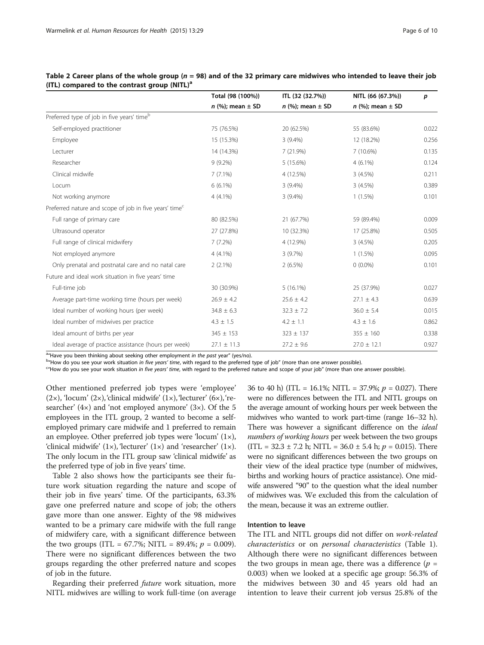|                                                                    | Total (98 (100%))      | ITL (32 (32.7%))         | NITL (66 (67.3%))      | p     |
|--------------------------------------------------------------------|------------------------|--------------------------|------------------------|-------|
|                                                                    | $n$ (%); mean $\pm$ SD | $n$ (%); mean $\pm$ SD   | $n$ (%); mean $\pm$ SD |       |
| Preferred type of job in five years' time <sup>b</sup>             |                        |                          |                        |       |
| Self-employed practitioner                                         | 75 (76.5%)             | 20 (62.5%)               | 55 (83.6%)             | 0.022 |
| Employee                                                           | 15 (15.3%)             | $3(9.4\%)$               | 12 (18.2%)             | 0.256 |
| Lecturer                                                           | 14 (14.3%)             | 7(21.9%)                 | 7 (10.6%)              | 0.135 |
| Researcher                                                         | $9(9.2\%)$             | 5(15.6%)                 | $4(6.1\%)$             | 0.124 |
| Clinical midwife                                                   | $7(7.1\%)$             | 4 (12.5%)                | 3(4.5%)                | 0.211 |
| Locum                                                              | $6(6.1\%)$             | $3(9.4\%)$               | 3(4.5%)                | 0.389 |
| Not working anymore                                                | $4(4.1\%)$             | $3(9.4\%)$<br>$1(1.5\%)$ |                        | 0.101 |
| Preferred nature and scope of job in five years' time <sup>c</sup> |                        |                          |                        |       |
| Full range of primary care                                         | 80 (82.5%)             | 21 (67.7%)               | 59 (89.4%)             | 0.009 |
| Ultrasound operator                                                | 27 (27.8%)             | 10 (32.3%)               | 17 (25.8%)             | 0.505 |
| Full range of clinical midwifery                                   | 7(7.2%)                | 4 (12.9%)                | 3(4.5%)                |       |
| Not employed anymore                                               | $4(4.1\%)$             | 3(9.7%)                  | 1(1.5%)                | 0.095 |
| Only prenatal and postnatal care and no natal care                 | $2(2.1\%)$             | 2(6.5%)                  | $0(0.0\%)$             | 0.101 |
| Future and ideal work situation in five years' time                |                        |                          |                        |       |
| Full-time job                                                      | 30 (30.9%)             | $5(16.1\%)$              | 25 (37.9%)             | 0.027 |
| Average part-time working time (hours per week)                    | $26.9 \pm 4.2$         | $25.6 \pm 4.2$           | $27.1 \pm 4.3$         | 0.639 |
| Ideal number of working hours (per week)                           | $34.8 \pm 6.3$         | $32.3 \pm 7.2$           | $36.0 \pm 5.4$         | 0.015 |
| Ideal number of midwives per practice                              | $4.3 \pm 1.5$          | $4.2 \pm 1.1$            | $4.3 \pm 1.6$          | 0.862 |
| Ideal amount of births per year                                    | $345 \pm 153$          | $323 \pm 137$            | $355 \pm 160$          | 0.338 |
| Ideal average of practice assistance (hours per week)              | $27.1 \pm 11.3$        | $27.2 \pm 9.6$           | $27.0 \pm 12.1$        | 0.927 |

<span id="page-5-0"></span>

| Table 2 Career plans of the whole group ( $n = 98$ ) and of the 32 primary care midwives who intended to leave their job |  |
|--------------------------------------------------------------------------------------------------------------------------|--|
| (ITL) compared to the contrast group (NITL) <sup>a</sup>                                                                 |  |

ar Have you been thinking about seeking other employment *in the past* year" (yes/no).<br>Prulow do you see your work situation in five years' time with regard to the proferred

<sup>b</sup>"How do you see your work situation in five years' time, with regard to the preferred type of job" (more than one answer possible).

<sup>c</sup>"How do you see your work situation in five years' time, with regard to the preferred nature and scope of your job" (more than one answer possible).

Other mentioned preferred job types were 'employee' (2×), 'locum' (2×), 'clinical midwife' (1×), 'lecturer' (6×), 'researcher' (4×) and 'not employed anymore' (3×). Of the 5 employees in the ITL group, 2 wanted to become a selfemployed primary care midwife and 1 preferred to remain an employee. Other preferred job types were 'locum' (1×), 'clinical midwife'  $(1\times)$ , 'lecturer'  $(1\times)$  and 'researcher'  $(1\times)$ . The only locum in the ITL group saw 'clinical midwife' as the preferred type of job in five years' time.

Table 2 also shows how the participants see their future work situation regarding the nature and scope of their job in five years' time. Of the participants, 63.3% gave one preferred nature and scope of job; the others gave more than one answer. Eighty of the 98 midwives wanted to be a primary care midwife with the full range of midwifery care, with a significant difference between the two groups (ITL = 67.7%; NITL = 89.4%;  $p = 0.009$ ). There were no significant differences between the two groups regarding the other preferred nature and scopes of job in the future.

Regarding their preferred *future* work situation, more NITL midwives are willing to work full-time (on average

36 to 40 h) (ITL = 16.1%; NITL = 37.9%;  $p = 0.027$ ). There were no differences between the ITL and NITL groups on the average amount of working hours per week between the midwives who wanted to work part-time (range 16–32 h). There was however a significant difference on the *ideal* numbers of working hours per week between the two groups  $(ITL = 32.3 \pm 7.2 \text{ h}; \text{NITL} = 36.0 \pm 5.4 \text{ h}; p = 0.015)$ . There were no significant differences between the two groups on their view of the ideal practice type (number of midwives, births and working hours of practice assistance). One midwife answered "90" to the question what the ideal number of midwives was. We excluded this from the calculation of the mean, because it was an extreme outlier.

# Intention to leave

The ITL and NITL groups did not differ on work-related characteristics or on personal characteristics (Table [1](#page-4-0)). Although there were no significant differences between the two groups in mean age, there was a difference ( $p =$ 0.003) when we looked at a specific age group: 56.3% of the midwives between 30 and 45 years old had an intention to leave their current job versus 25.8% of the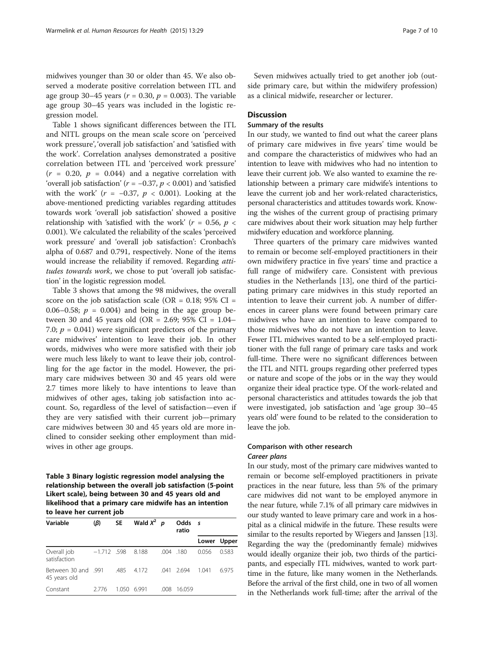midwives younger than 30 or older than 45. We also observed a moderate positive correlation between ITL and age group 30–45 years ( $r = 0.30$ ,  $p = 0.003$ ). The variable age group 30–45 years was included in the logistic regression model.

Table [1](#page-4-0) shows significant differences between the ITL and NITL groups on the mean scale score on 'perceived work pressure', 'overall job satisfaction' and 'satisfied with the work'. Correlation analyses demonstrated a positive correlation between ITL and 'perceived work pressure'  $(r = 0.20, p = 0.044)$  and a negative correlation with 'overall job satisfaction' ( $r = -0.37$ ,  $p < 0.001$ ) and 'satisfied with the work'  $(r = -0.37, p < 0.001)$ . Looking at the above-mentioned predicting variables regarding attitudes towards work 'overall job satisfaction' showed a positive relationship with 'satisfied with the work' ( $r = 0.56$ ,  $p <$ 0.001). We calculated the reliability of the scales 'perceived work pressure' and 'overall job satisfaction': Cronbach's alpha of 0.687 and 0.791, respectively. None of the items would increase the reliability if removed. Regarding attitudes towards work, we chose to put 'overall job satisfaction' in the logistic regression model.

Table 3 shows that among the 98 midwives, the overall score on the job satisfaction scale (OR =  $0.18$ ; 95% CI = 0.06–0.58;  $p = 0.004$ ) and being in the age group between 30 and 45 years old (OR = 2.69; 95% CI = 1.04– 7.0;  $p = 0.041$ ) were significant predictors of the primary care midwives' intention to leave their job. In other words, midwives who were more satisfied with their job were much less likely to want to leave their job, controlling for the age factor in the model. However, the primary care midwives between 30 and 45 years old were 2.7 times more likely to have intentions to leave than midwives of other ages, taking job satisfaction into account. So, regardless of the level of satisfaction—even if they are very satisfied with their current job—primary care midwives between 30 and 45 years old are more inclined to consider seeking other employment than midwives in other age groups.

Table 3 Binary logistic regression model analysing the relationship between the overall job satisfaction (5-point Likert scale), being between 30 and 45 years old and likelihood that a primary care midwife has an intention to leave her current job

| Variable                           | $(\beta)$     | <b>SE</b> | Wald $X^2$ p |      | Odds <sub>s</sub><br>ratio |       |             |
|------------------------------------|---------------|-----------|--------------|------|----------------------------|-------|-------------|
|                                    |               |           |              |      |                            |       | Lower Upper |
| Overall job<br>satisfaction        | $-1.712$ .598 |           | 8.188        | .004 | .180                       | 0.056 | 0.583       |
| Between 30 and 991<br>45 years old |               | .485      | 4.172        | .041 | 2.694                      | 1.041 | 6.975       |
| Constant                           | 2.776         | 1.050     | 6.991        | .008 | 16.059                     |       |             |

Seven midwives actually tried to get another job (outside primary care, but within the midwifery profession) as a clinical midwife, researcher or lecturer.

# Discussion

# Summary of the results

In our study, we wanted to find out what the career plans of primary care midwives in five years' time would be and compare the characteristics of midwives who had an intention to leave with midwives who had no intention to leave their current job. We also wanted to examine the relationship between a primary care midwife's intentions to leave the current job and her work-related characteristics, personal characteristics and attitudes towards work. Knowing the wishes of the current group of practising primary care midwives about their work situation may help further midwifery education and workforce planning.

Three quarters of the primary care midwives wanted to remain or become self-employed practitioners in their own midwifery practice in five years' time and practice a full range of midwifery care. Consistent with previous studies in the Netherlands [[13\]](#page-8-0), one third of the participating primary care midwives in this study reported an intention to leave their current job. A number of differences in career plans were found between primary care midwives who have an intention to leave compared to those midwives who do not have an intention to leave. Fewer ITL midwives wanted to be a self-employed practitioner with the full range of primary care tasks and work full-time. There were no significant differences between the ITL and NITL groups regarding other preferred types or nature and scope of the jobs or in the way they would organize their ideal practice type. Of the work-related and personal characteristics and attitudes towards the job that were investigated, job satisfaction and 'age group 30–45 years old' were found to be related to the consideration to leave the job.

# Comparison with other research Career plans

In our study, most of the primary care midwives wanted to remain or become self-employed practitioners in private practices in the near future, less than 5% of the primary care midwives did not want to be employed anymore in the near future, while 7.1% of all primary care midwives in our study wanted to leave primary care and work in a hospital as a clinical midwife in the future. These results were similar to the results reported by Wiegers and Janssen [[13](#page-8-0)]. Regarding the way the (predominantly female) midwives would ideally organize their job, two thirds of the participants, and especially ITL midwives, wanted to work parttime in the future, like many women in the Netherlands. Before the arrival of the first child, one in two of all women in the Netherlands work full-time; after the arrival of the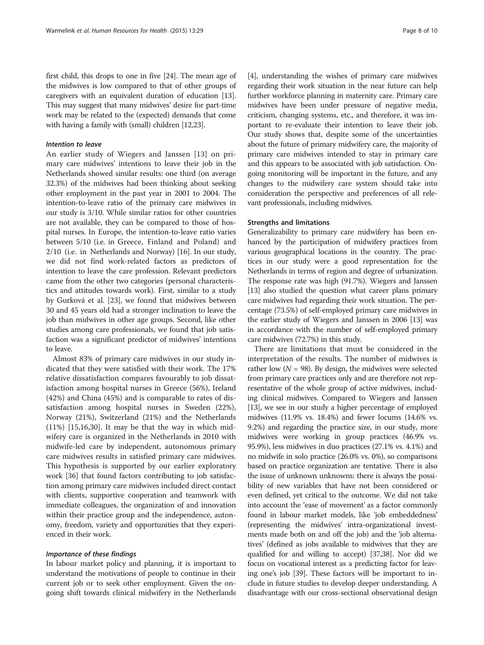first child, this drops to one in five [\[24\]](#page-9-0). The mean age of the midwives is low compared to that of other groups of caregivers with an equivalent duration of education [[13](#page-8-0)]. This may suggest that many midwives' desire for part-time work may be related to the (expected) demands that come with having a family with (small) children [\[12](#page-8-0)[,23\]](#page-9-0).

#### Intention to leave

An earlier study of Wiegers and Janssen [[13](#page-8-0)] on primary care midwives' intentions to leave their job in the Netherlands showed similar results: one third (on average 32.3%) of the midwives had been thinking about seeking other employment in the past year in 2001 to 2004. The intention-to-leave ratio of the primary care midwives in our study is 3/10. While similar ratios for other countries are not available, they can be compared to those of hospital nurses. In Europe, the intention-to-leave ratio varies between 5/10 (i.e. in Greece, Finland and Poland) and 2/10 (i.e. in Netherlands and Norway) [\[16\]](#page-9-0). In our study, we did not find work-related factors as predictors of intention to leave the care profession. Relevant predictors came from the other two categories (personal characteristics and attitudes towards work). First, similar to a study by Gurková et al. [\[23](#page-9-0)], we found that midwives between 30 and 45 years old had a stronger inclination to leave the job than midwives in other age groups. Second, like other studies among care professionals, we found that job satisfaction was a significant predictor of midwives' intentions to leave.

Almost 83% of primary care midwives in our study indicated that they were satisfied with their work. The 17% relative dissatisfaction compares favourably to job dissatisfaction among hospital nurses in Greece (56%), Ireland (42%) and China (45%) and is comparable to rates of dissatisfaction among hospital nurses in Sweden (22%), Norway (21%), Switzerland (21%) and the Netherlands  $(11\%)$  [[15,](#page-8-0)[16,30\]](#page-9-0). It may be that the way in which midwifery care is organized in the Netherlands in 2010 with midwife-led care by independent, autonomous primary care midwives results in satisfied primary care midwives. This hypothesis is supported by our earlier exploratory work [[36](#page-9-0)] that found factors contributing to job satisfaction among primary care midwives included direct contact with clients, supportive cooperation and teamwork with immediate colleagues, the organization of and innovation within their practice group and the independence, autonomy, freedom, variety and opportunities that they experienced in their work.

#### Importance of these findings

In labour market policy and planning, it is important to understand the motivations of people to continue in their current job or to seek other employment. Given the ongoing shift towards clinical midwifery in the Netherlands

[[4\]](#page-8-0), understanding the wishes of primary care midwives regarding their work situation in the near future can help further workforce planning in maternity care. Primary care midwives have been under pressure of negative media, criticism, changing systems, etc., and therefore, it was important to re-evaluate their intention to leave their job. Our study shows that, despite some of the uncertainties about the future of primary midwifery care, the majority of primary care midwives intended to stay in primary care and this appears to be associated with job satisfaction. Ongoing monitoring will be important in the future, and any changes to the midwifery care system should take into consideration the perspective and preferences of all relevant professionals, including midwives.

#### Strengths and limitations

Generalizability to primary care midwifery has been enhanced by the participation of midwifery practices from various geographical locations in the country. The practices in our study were a good representation for the Netherlands in terms of region and degree of urbanization. The response rate was high (91.7%). Wiegers and Janssen [[13](#page-8-0)] also studied the question what career plans primary care midwives had regarding their work situation. The percentage (73.5%) of self-employed primary care midwives in the earlier study of Wiegers and Janssen in 2006 [[13](#page-8-0)] was in accordance with the number of self-employed primary care midwives (72.7%) in this study.

There are limitations that must be considered in the interpretation of the results. The number of midwives is rather low ( $N = 98$ ). By design, the midwives were selected from primary care practices only and are therefore not representative of the whole group of active midwives, including clinical midwives. Compared to Wiegers and Janssen [[13](#page-8-0)], we see in our study a higher percentage of employed midwives (11.9% vs. 18.4%) and fewer locums (14.6% vs. 9.2%) and regarding the practice size, in our study, more midwives were working in group practices (46.9% vs. 95.9%), less midwives in duo practices (27.1% vs. 4.1%) and no midwife in solo practice (26.0% vs. 0%), so comparisons based on practice organization are tentative. There is also the issue of unknown unknowns: there is always the possibility of new variables that have not been considered or even defined, yet critical to the outcome. We did not take into account the 'ease of movement' as a factor commonly found in labour market models, like 'job embeddedness' (representing the midwives' intra-organizational investments made both on and off the job) and the 'job alternatives' (defined as jobs available to midwives that they are qualified for and willing to accept) [[37,38\]](#page-9-0). Nor did we focus on vocational interest as a predicting factor for leaving one's job [[39](#page-9-0)]. These factors will be important to include in future studies to develop deeper understanding. A disadvantage with our cross-sectional observational design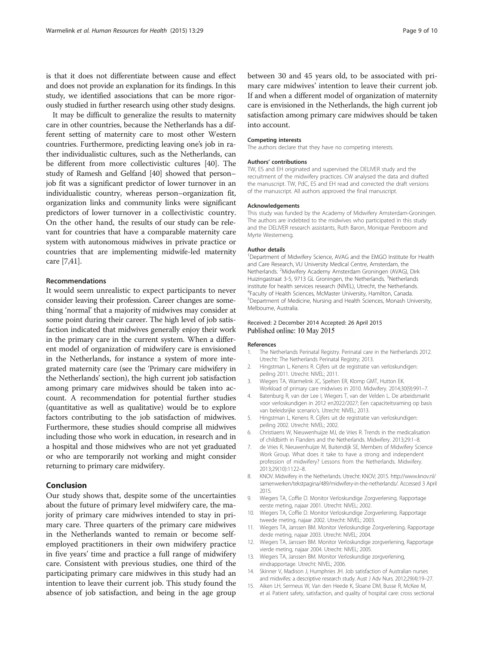<span id="page-8-0"></span>is that it does not differentiate between cause and effect and does not provide an explanation for its findings. In this study, we identified associations that can be more rigorously studied in further research using other study designs.

It may be difficult to generalize the results to maternity care in other countries, because the Netherlands has a different setting of maternity care to most other Western countries. Furthermore, predicting leaving one's job in rather individualistic cultures, such as the Netherlands, can be different from more collectivistic cultures [[40](#page-9-0)]. The study of Ramesh and Gelfand [\[40\]](#page-9-0) showed that person– job fit was a significant predictor of lower turnover in an individualistic country, whereas person–organization fit, organization links and community links were significant predictors of lower turnover in a collectivistic country. On the other hand, the results of our study can be relevant for countries that have a comparable maternity care system with autonomous midwives in private practice or countries that are implementing midwife-led maternity care [7,[41](#page-9-0)].

#### Recommendations

It would seem unrealistic to expect participants to never consider leaving their profession. Career changes are something 'normal' that a majority of midwives may consider at some point during their career. The high level of job satisfaction indicated that midwives generally enjoy their work in the primary care in the current system. When a different model of organization of midwifery care is envisioned in the Netherlands, for instance a system of more integrated maternity care (see the '[Primary care midwifery in](#page-0-0) [the Netherlands](#page-0-0)' section), the high current job satisfaction among primary care midwives should be taken into account. A recommendation for potential further studies (quantitative as well as qualitative) would be to explore factors contributing to the job satisfaction of midwives. Furthermore, these studies should comprise all midwives including those who work in education, in research and in a hospital and those midwives who are not yet graduated or who are temporarily not working and might consider returning to primary care midwifery.

# Conclusion

Our study shows that, despite some of the uncertainties about the future of primary level midwifery care, the majority of primary care midwives intended to stay in primary care. Three quarters of the primary care midwives in the Netherlands wanted to remain or become selfemployed practitioners in their own midwifery practice in five years' time and practice a full range of midwifery care. Consistent with previous studies, one third of the participating primary care midwives in this study had an intention to leave their current job. This study found the absence of job satisfaction, and being in the age group

between 30 and 45 years old, to be associated with primary care midwives' intention to leave their current job. If and when a different model of organization of maternity care is envisioned in the Netherlands, the high current job satisfaction among primary care midwives should be taken into account.

#### Competing interests

The authors declare that they have no competing interests.

#### Authors' contributions

TW, ES and EH originated and supervised the DELIVER study and the recruitment of the midwifery practices. CW analysed the data and drafted the manuscript. TW, PdC, ES and EH read and corrected the draft versions of the manuscript. All authors approved the final manuscript.

#### Acknowledgements

This study was funded by the Academy of Midwifery Amsterdam-Groningen. The authors are indebted to the midwives who participated in this study and the DELIVER research assistants, Ruth Baron, Monique Pereboom and Myrte Westerneng.

#### Author details

<sup>1</sup>Department of Midwifery Science, AVAG and the EMGO Institute for Health and Care Research, VU University Medical Centre, Amsterdam, the Netherlands. <sup>2</sup>Midwifery Academy Amsterdam Groningen (AVAG), Dirk Huizingastraat 3-5, 9713 GL Groningen, the Netherlands. <sup>3</sup>Netherlands institute for health services research (NIVEL), Utrecht, the Netherlands. 4 Faculty of Health Sciences, McMaster University, Hamilton, Canada. 5 Department of Medicine, Nursing and Health Sciences, Monash University, Melbourne, Australia.

# Received: 2 December 2014 Accepted: 26 April 2015 Published online: 10 May 2015

#### References

- 1. The Netherlands Perinatal Registry. Perinatal care in the Netherlands 2012. Utrecht: The Netherlands Perinatal Registry; 2013.
- 2. Hingstman L, Kenens R. Cijfers uit de registratie van verloskundigen: peiling 2011. Utrecht: NIVEL; 2011.
- 3. Wiegers TA, Warmelink JC, Spelten ER, Klomp GMT, Hutton EK. Workload of primary care midwives in 2010. Midwifery. 2014;30(9):991–7.
- 4. Batenburg R, van der Lee I, Wiegers T, van der Velden L. De arbeidsmarkt voor verloskundigen in 2012 en2022/2027; Een capaciteitsraming op basis van beleidsrijke scenario's. Utrecht: NIVEL; 2013.
- 5. Hingstman L, Kenens R. Cijfers uit de registratie van verloskundigen: peiling 2002. Utrecht: NIVEL; 2002.
- 6. Christiaens W, Nieuwenhuijze MJ, de Vries R. Trends in the medicalisation of childbirth in Flanders and the Netherlands. Midwifery. 2013;29:1–8.
- 7. de Vries R, Nieuwenhuijze M, Buitendijk SE, Members of Midwifery Science Work Group. What does it take to have a strong and independent profession of midwifery? Lessons from the Netherlands. Midwifery. 2013;29(10):1122–8.
- 8. KNOV. Midwifery in the Netherlands. Utrecht: KNOV; 2015. [http://www.knov.nl/](http://www.knov.nl/samenwerken/tekstpagina/489/midwifery-in-the-netherlands/) [samenwerken/tekstpagina/489/midwifery-in-the-netherlands/](http://www.knov.nl/samenwerken/tekstpagina/489/midwifery-in-the-netherlands/). Accessed 3 April 2015.
- 9. Wiegers TA, Coffie D. Monitor Verloskundige Zorgverlening. Rapportage eerste meting, najaar 2001. Utrecht: NIVEL; 2002.
- 10. Wiegers TA, Coffie D. Monitor Verloskundige Zorgverlening. Rapportage tweede meting, najaar 2002. Utrecht: NIVEL; 2003.
- 11. Wiegers TA, Janssen BM. Monitor Verloskundige Zorgverlening. Rapportage derde meting, najaar 2003. Utrecht: NIVEL; 2004.
- 12. Wiegers TA, Janssen BM. Monitor Verloskundige zorgverlening, Rapportage vierde meting, najaar 2004. Utrecht: NIVEL; 2005.
- 13. Wiegers TA, Janssen BM. Monitor Verloskundige zorgverlening, eindrapportage. Utrecht: NIVEL; 2006.
- 14. Skinner V, Madison J, Humphries JH. Job satisfaction of Australian nurses and midwifes: a descriptive research study. Aust J Adv Nurs. 2012;29(4):19–27.
- 15. Aiken LH, Sermeus W, Van den Heede K, Sloane DM, Busse R, McKee M, et al. Patient safety, satisfaction, and quality of hospital care: cross sectional